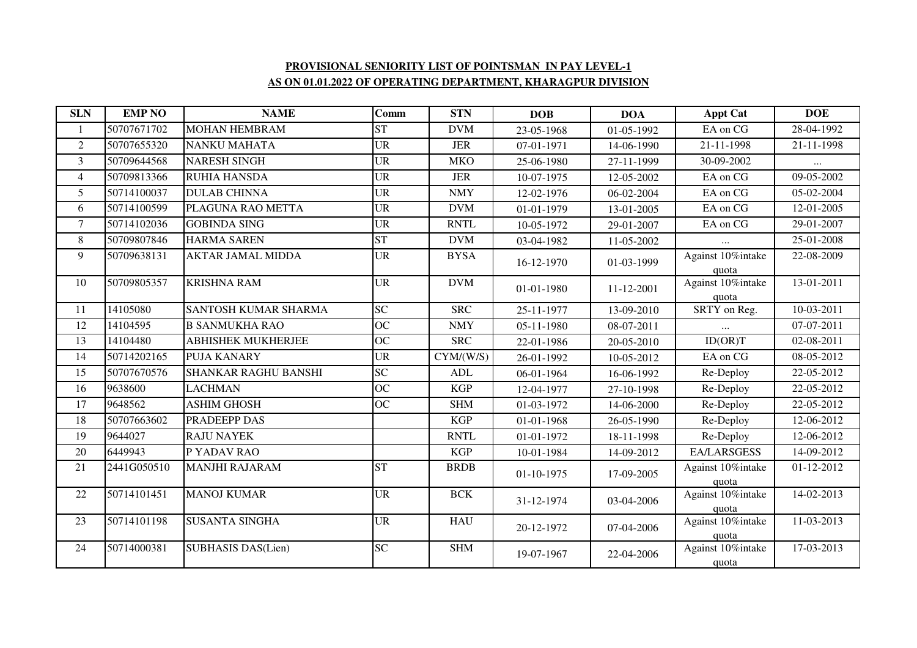## **PROVISIONAL SENIORITY LIST OF POINTSMAN IN PAY LEVEL-1AS ON 01.01.2022 OF OPERATING DEPARTMENT, KHARAGPUR DIVISION**

| <b>SLN</b>      | <b>EMP NO</b> | <b>NAME</b>               | Comm            | <b>STN</b>  | <b>DOB</b>   | <b>DOA</b> | <b>Appt Cat</b>            | <b>DOE</b>               |
|-----------------|---------------|---------------------------|-----------------|-------------|--------------|------------|----------------------------|--------------------------|
| 1               | 50707671702   | <b>MOHAN HEMBRAM</b>      | <b>ST</b>       | <b>DVM</b>  | 23-05-1968   | 01-05-1992 | EA on CG                   | 28-04-1992               |
| $\overline{c}$  | 50707655320   | <b>NANKU MAHATA</b>       | <b>UR</b>       | <b>JER</b>  | 07-01-1971   | 14-06-1990 | 21-11-1998                 | 21-11-1998               |
| $\overline{3}$  | 50709644568   | <b>NARESH SINGH</b>       | <b>UR</b>       | <b>MKO</b>  | 25-06-1980   | 27-11-1999 | 30-09-2002                 |                          |
| $\overline{4}$  | 50709813366   | <b>RUHIA HANSDA</b>       | <b>UR</b>       | <b>JER</b>  | 10-07-1975   | 12-05-2002 | EA on CG                   | 09-05-2002               |
| 5               | 50714100037   | <b>DULAB CHINNA</b>       | <b>UR</b>       | <b>NMY</b>  | 12-02-1976   | 06-02-2004 | EA on CG                   | 05-02-2004               |
| 6               | 50714100599   | PLAGUNA RAO METTA         | <b>UR</b>       | <b>DVM</b>  | 01-01-1979   | 13-01-2005 | EA on CG                   | 12-01-2005               |
| $\overline{7}$  | 50714102036   | <b>GOBINDA SING</b>       | <b>UR</b>       | <b>RNTL</b> | 10-05-1972   | 29-01-2007 | EA on CG                   | 29-01-2007               |
| 8               | 50709807846   | <b>HARMA SAREN</b>        | <b>ST</b>       | <b>DVM</b>  | 03-04-1982   | 11-05-2002 |                            | 25-01-2008               |
| 9               | 50709638131   | <b>AKTAR JAMAL MIDDA</b>  | <b>UR</b>       | <b>BYSA</b> | 16-12-1970   | 01-03-1999 | Against 10%intake          | 22-08-2009               |
|                 |               |                           |                 |             |              |            | quota                      |                          |
| 10              | 50709805357   | <b>KRISHNA RAM</b>        | <b>UR</b>       | <b>DVM</b>  | 01-01-1980   | 11-12-2001 | Against 10%intake          | 13-01-2011               |
| 11              | 14105080      | SANTOSH KUMAR SHARMA      | <b>SC</b>       | <b>SRC</b>  | 25-11-1977   | 13-09-2010 | quota<br>SRTY on Reg.      | $\overline{10}$ -03-2011 |
| 12              | 14104595      | <b>B SANMUKHA RAO</b>     | <b>OC</b>       | <b>NMY</b>  |              |            |                            | 07-07-2011               |
|                 |               |                           |                 |             | 05-11-1980   | 08-07-2011 |                            |                          |
| $\overline{13}$ | 14104480      | <b>ABHISHEK MUKHERJEE</b> | $\overline{OC}$ | <b>SRC</b>  | 22-01-1986   | 20-05-2010 | ID(OR)T                    | 02-08-2011               |
| 14              | 50714202165   | <b>PUJA KANARY</b>        | <b>UR</b>       | CYM/(W/S)   | 26-01-1992   | 10-05-2012 | EA on CG                   | 08-05-2012               |
| 15              | 50707670576   | SHANKAR RAGHU BANSHI      | $\overline{SC}$ | ADL         | 06-01-1964   | 16-06-1992 | Re-Deploy                  | 22-05-2012               |
| 16              | 9638600       | <b>LACHMAN</b>            | <b>OC</b>       | <b>KGP</b>  | 12-04-1977   | 27-10-1998 | Re-Deploy                  | 22-05-2012               |
| 17              | 9648562       | <b>ASHIM GHOSH</b>        | $\overline{OC}$ | <b>SHM</b>  | 01-03-1972   | 14-06-2000 | Re-Deploy                  | $22-05-2012$             |
| 18              | 50707663602   | PRADEEPP DAS              |                 | <b>KGP</b>  | 01-01-1968   | 26-05-1990 | Re-Deploy                  | 12-06-2012               |
| 19              | 9644027       | <b>RAJU NAYEK</b>         |                 | <b>RNTL</b> | 01-01-1972   | 18-11-1998 | Re-Deploy                  | 12-06-2012               |
| 20              | 6449943       | P YADAV RAO               |                 | <b>KGP</b>  | 10-01-1984   | 14-09-2012 | <b>EA/LARSGESS</b>         | 14-09-2012               |
| 21              | 2441G050510   | <b>MANJHI RAJARAM</b>     | <b>ST</b>       | <b>BRDB</b> | $01-10-1975$ | 17-09-2005 | Against 10%intake          | 01-12-2012               |
|                 |               |                           |                 |             |              |            | quota                      |                          |
| 22              | 50714101451   | <b>MANOJ KUMAR</b>        | <b>UR</b>       | <b>BCK</b>  | 31-12-1974   | 03-04-2006 | Against 10%intake          | 14-02-2013               |
|                 |               |                           |                 |             |              |            | quota                      |                          |
| 23              | 50714101198   | <b>SUSANTA SINGHA</b>     | <b>UR</b>       | <b>HAU</b>  | 20-12-1972   | 07-04-2006 | Against 10%intake          | 11-03-2013               |
| 24              | 50714000381   | <b>SUBHASIS DAS(Lien)</b> | <b>SC</b>       | <b>SHM</b>  |              |            | quota<br>Against 10%intake | 17-03-2013               |
|                 |               |                           |                 |             | 19-07-1967   | 22-04-2006 |                            |                          |
|                 |               |                           |                 |             |              |            | quota                      |                          |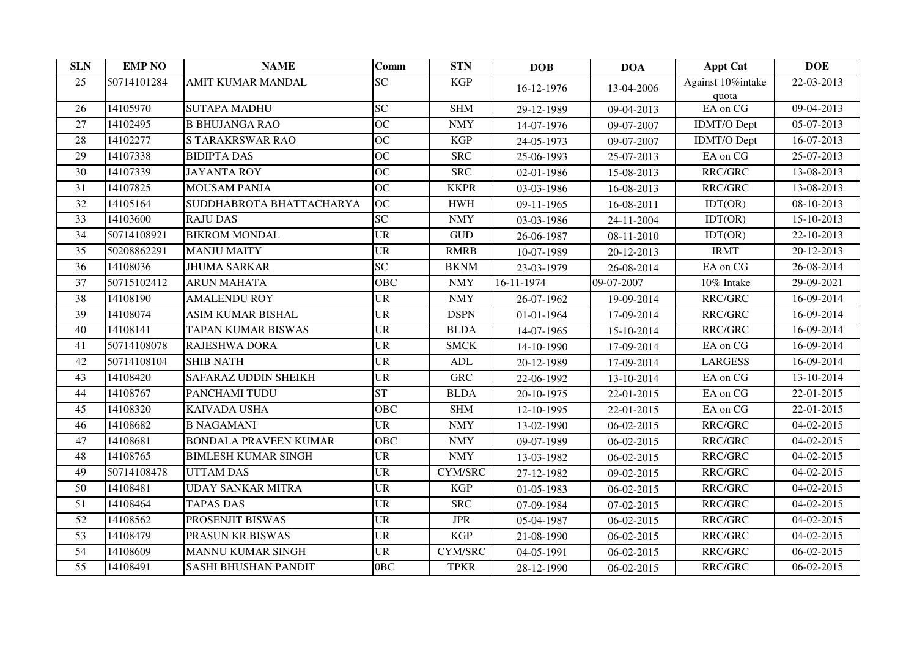| <b>SLN</b>      | <b>EMP NO</b> | <b>NAME</b>                  | Comm                              | <b>STN</b>                  | <b>DOB</b> | <b>DOA</b> | <b>Appt Cat</b>            | <b>DOE</b>               |
|-----------------|---------------|------------------------------|-----------------------------------|-----------------------------|------------|------------|----------------------------|--------------------------|
| 25              | 50714101284   | AMIT KUMAR MANDAL            | <b>SC</b>                         | <b>KGP</b>                  | 16-12-1976 | 13-04-2006 | Against 10%intake<br>quota | 22-03-2013               |
| 26              | 14105970      | <b>SUTAPA MADHU</b>          | <b>SC</b>                         | <b>SHM</b>                  | 29-12-1989 | 09-04-2013 | EA on CG                   | 09-04-2013               |
| 27              | 14102495      | <b>B BHUJANGA RAO</b>        | OC                                | <b>NMY</b>                  | 14-07-1976 | 09-07-2007 | <b>IDMT/O Dept</b>         | 05-07-2013               |
| 28              | 14102277      | <b>STARAKRSWAR RAO</b>       | <b>OC</b>                         | <b>KGP</b>                  | 24-05-1973 | 09-07-2007 | <b>IDMT/O</b> Dept         | 16-07-2013               |
| 29              | 14107338      | <b>BIDIPTA DAS</b>           | <b>OC</b>                         | <b>SRC</b>                  | 25-06-1993 | 25-07-2013 | EA on CG                   | 25-07-2013               |
| 30              | 14107339      | <b>JAYANTA ROY</b>           | OC                                | <b>SRC</b>                  | 02-01-1986 | 15-08-2013 | RRC/GRC                    | 13-08-2013               |
| 31              | 14107825      | <b>MOUSAM PANJA</b>          | <b>OC</b>                         | <b>KKPR</b>                 | 03-03-1986 | 16-08-2013 | RRC/GRC                    | 13-08-2013               |
| 32              | 14105164      | SUDDHABROTA BHATTACHARYA     | <b>OC</b>                         | <b>HWH</b>                  | 09-11-1965 | 16-08-2011 | IDT(OR)                    | 08-10-2013               |
| 33              | 14103600      | <b>RAJU DAS</b>              | SC                                | <b>NMY</b>                  | 03-03-1986 | 24-11-2004 | IDT(OR)                    | 15-10-2013               |
| 34              | 50714108921   | <b>BIKROM MONDAL</b>         | <b>UR</b>                         | $\ensuremath{\mathsf{GUD}}$ | 26-06-1987 | 08-11-2010 | IDT(OR)                    | $\overline{22}$ -10-2013 |
| 35              | 50208862291   | <b>MANJU MAITY</b>           | $\ensuremath{\mathsf{UR}}\xspace$ | <b>RMRB</b>                 | 10-07-1989 | 20-12-2013 | <b>IRMT</b>                | 20-12-2013               |
| 36              | 14108036      | <b>JHUMA SARKAR</b>          | <b>SC</b>                         | <b>BKNM</b>                 | 23-03-1979 | 26-08-2014 | EA on CG                   | 26-08-2014               |
| 37              | 50715102412   | <b>ARUN MAHATA</b>           | <b>OBC</b>                        | <b>NMY</b>                  | 16-11-1974 | 09-07-2007 | 10% Intake                 | 29-09-2021               |
| 38              | 14108190      | <b>AMALENDU ROY</b>          | <b>UR</b>                         | <b>NMY</b>                  | 26-07-1962 | 19-09-2014 | RRC/GRC                    | 16-09-2014               |
| 39              | 14108074      | <b>ASIM KUMAR BISHAL</b>     | <b>UR</b>                         | <b>DSPN</b>                 | 01-01-1964 | 17-09-2014 | RRC/GRC                    | 16-09-2014               |
| 40              | 14108141      | <b>TAPAN KUMAR BISWAS</b>    | <b>UR</b>                         | <b>BLDA</b>                 | 14-07-1965 | 15-10-2014 | RRC/GRC                    | 16-09-2014               |
| 41              | 50714108078   | RAJESHWA DORA                | $\ensuremath{\mathsf{UR}}\xspace$ | <b>SMCK</b>                 | 14-10-1990 | 17-09-2014 | EA on CG                   | 16-09-2014               |
| 42              | 50714108104   | <b>SHIB NATH</b>             | <b>UR</b>                         | ADL                         | 20-12-1989 | 17-09-2014 | <b>LARGESS</b>             | 16-09-2014               |
| 43              | 14108420      | <b>SAFARAZ UDDIN SHEIKH</b>  | <b>UR</b>                         | <b>GRC</b>                  | 22-06-1992 | 13-10-2014 | EA on CG                   | 13-10-2014               |
| 44              | 14108767      | PANCHAMI TUDU                | <b>ST</b>                         | <b>BLDA</b>                 | 20-10-1975 | 22-01-2015 | EA on CG                   | 22-01-2015               |
| 45              | 14108320      | <b>KAIVADA USHA</b>          | <b>OBC</b>                        | <b>SHM</b>                  | 12-10-1995 | 22-01-2015 | EA on CG                   | 22-01-2015               |
| 46              | 14108682      | <b>B NAGAMANI</b>            | <b>UR</b>                         | <b>NMY</b>                  | 13-02-1990 | 06-02-2015 | RRC/GRC                    | 04-02-2015               |
| 47              | 14108681      | <b>BONDALA PRAVEEN KUMAR</b> | <b>OBC</b>                        | <b>NMY</b>                  | 09-07-1989 | 06-02-2015 | RRC/GRC                    | 04-02-2015               |
| 48              | 14108765      | <b>BIMLESH KUMAR SINGH</b>   | <b>UR</b>                         | <b>NMY</b>                  | 13-03-1982 | 06-02-2015 | RRC/GRC                    | 04-02-2015               |
| 49              | 50714108478   | <b>UTTAM DAS</b>             | <b>UR</b>                         | <b>CYM/SRC</b>              | 27-12-1982 | 09-02-2015 | RRC/GRC                    | 04-02-2015               |
| 50              | 14108481      | <b>UDAY SANKAR MITRA</b>     | <b>UR</b>                         | <b>KGP</b>                  | 01-05-1983 | 06-02-2015 | RRC/GRC                    | 04-02-2015               |
| $\overline{51}$ | 14108464      | <b>TAPAS DAS</b>             | <b>UR</b>                         | <b>SRC</b>                  | 07-09-1984 | 07-02-2015 | RRC/GRC                    | 04-02-2015               |
| 52              | 14108562      | PROSENJIT BISWAS             | <b>UR</b>                         | <b>JPR</b>                  | 05-04-1987 | 06-02-2015 | RRC/GRC                    | 04-02-2015               |
| 53              | 14108479      | PRASUN KR.BISWAS             | $\ensuremath{\mathsf{UR}}\xspace$ | <b>KGP</b>                  | 21-08-1990 | 06-02-2015 | RRC/GRC                    | 04-02-2015               |
| 54              | 14108609      | <b>MANNU KUMAR SINGH</b>     | <b>UR</b>                         | <b>CYM/SRC</b>              | 04-05-1991 | 06-02-2015 | RRC/GRC                    | 06-02-2015               |
| $\overline{55}$ | 14108491      | <b>SASHI BHUSHAN PANDIT</b>  | 0 <sub>BC</sub>                   | <b>TPKR</b>                 | 28-12-1990 | 06-02-2015 | RRC/GRC                    | 06-02-2015               |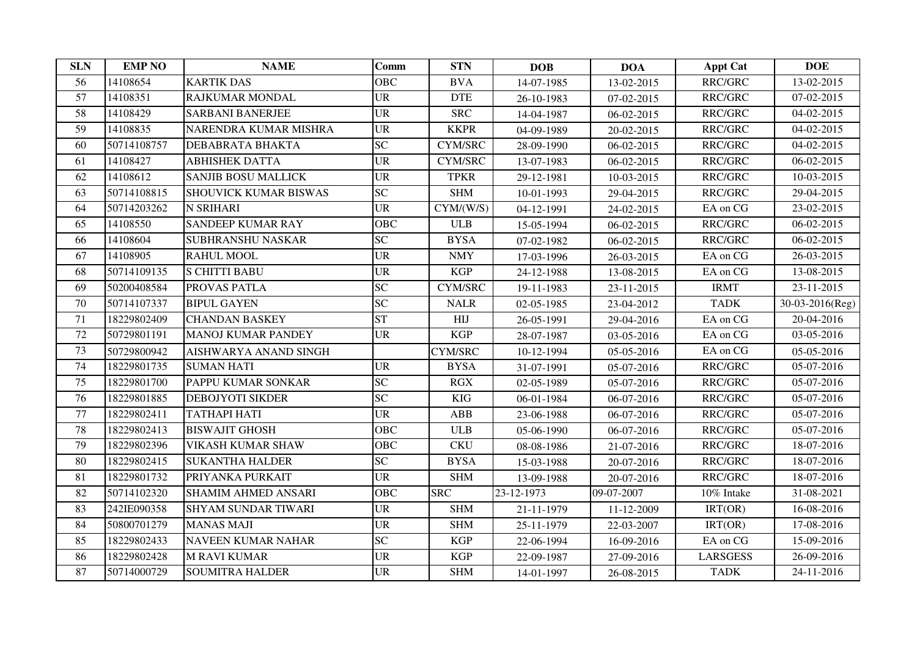| <b>SLN</b>      | <b>EMP NO</b> | <b>NAME</b>                  | <b>Comm</b>                       | <b>STN</b>      | <b>DOB</b> | <b>DOA</b> | <b>Appt Cat</b> | <b>DOE</b>               |
|-----------------|---------------|------------------------------|-----------------------------------|-----------------|------------|------------|-----------------|--------------------------|
| 56              | 14108654      | <b>KARTIK DAS</b>            | <b>OBC</b>                        | <b>BVA</b>      | 14-07-1985 | 13-02-2015 | RRC/GRC         | 13-02-2015               |
| $\overline{57}$ | 14108351      | <b>RAJKUMAR MONDAL</b>       | <b>UR</b>                         | <b>DTE</b>      | 26-10-1983 | 07-02-2015 | RRC/GRC         | $\overline{07-02}$ -2015 |
| 58              | 14108429      | <b>SARBANI BANERJEE</b>      | <b>UR</b>                         | <b>SRC</b>      | 14-04-1987 | 06-02-2015 | RRC/GRC         | 04-02-2015               |
| 59              | 14108835      | NARENDRA KUMAR MISHRA        | <b>UR</b>                         | <b>KKPR</b>     | 04-09-1989 | 20-02-2015 | RRC/GRC         | 04-02-2015               |
| 60              | 50714108757   | DEBABRATA BHAKTA             | <b>SC</b>                         | <b>CYM/SRC</b>  | 28-09-1990 | 06-02-2015 | RRC/GRC         | 04-02-2015               |
| 61              | 14108427      | <b>ABHISHEK DATTA</b>        | <b>UR</b>                         | <b>CYM/SRC</b>  | 13-07-1983 | 06-02-2015 | RRC/GRC         | 06-02-2015               |
| 62              | 14108612      | <b>SANJIB BOSU MALLICK</b>   | <b>UR</b>                         | <b>TPKR</b>     | 29-12-1981 | 10-03-2015 | RRC/GRC         | 10-03-2015               |
| 63              | 50714108815   | <b>SHOUVICK KUMAR BISWAS</b> | <b>SC</b>                         | <b>SHM</b>      | 10-01-1993 | 29-04-2015 | RRC/GRC         | 29-04-2015               |
| 64              | 50714203262   | <b>N SRIHARI</b>             | <b>UR</b>                         | CYM/(W/S)       | 04-12-1991 | 24-02-2015 | EA on CG        | 23-02-2015               |
| 65              | 14108550      | <b>SANDEEP KUMAR RAY</b>     | <b>OBC</b>                        | <b>ULB</b>      | 15-05-1994 | 06-02-2015 | RRC/GRC         | 06-02-2015               |
| 66              | 14108604      | <b>SUBHRANSHU NASKAR</b>     | <b>SC</b>                         | <b>BYSA</b>     | 07-02-1982 | 06-02-2015 | RRC/GRC         | 06-02-2015               |
| 67              | 14108905      | <b>RAHUL MOOL</b>            | <b>UR</b>                         | <b>NMY</b>      | 17-03-1996 | 26-03-2015 | EA on CG        | 26-03-2015               |
| 68              | 50714109135   | <b>S CHITTI BABU</b>         | $\ensuremath{\mathrm{UR}}\xspace$ | <b>KGP</b>      | 24-12-1988 | 13-08-2015 | EA on CG        | $13-08-2015$             |
| 69              | 50200408584   | PROVAS PATLA                 | SC                                | <b>CYM/SRC</b>  | 19-11-1983 | 23-11-2015 | <b>IRMT</b>     | 23-11-2015               |
| 70              | 50714107337   | <b>BIPUL GAYEN</b>           | <b>SC</b>                         | <b>NALR</b>     | 02-05-1985 | 23-04-2012 | <b>TADK</b>     | 30-03-2016(Reg)          |
| 71              | 18229802409   | <b>CHANDAN BASKEY</b>        | <b>ST</b>                         | H <sub>II</sub> | 26-05-1991 | 29-04-2016 | EA on CG        | 20-04-2016               |
| 72              | 50729801191   | <b>MANOJ KUMAR PANDEY</b>    | <b>UR</b>                         | KGP             | 28-07-1987 | 03-05-2016 | EA on CG        | 03-05-2016               |
| 73              | 50729800942   | AISHWARYA ANAND SINGH        |                                   | <b>CYM/SRC</b>  | 10-12-1994 | 05-05-2016 | EA on CG        | 05-05-2016               |
| 74              | 18229801735   | <b>SUMAN HATI</b>            | <b>UR</b>                         | <b>BYSA</b>     | 31-07-1991 | 05-07-2016 | RRC/GRC         | 05-07-2016               |
| 75              | 18229801700   | PAPPU KUMAR SONKAR           | <b>SC</b>                         | RGX             | 02-05-1989 | 05-07-2016 | RRC/GRC         | 05-07-2016               |
| 76              | 18229801885   | <b>DEBOJYOTI SIKDER</b>      | <b>SC</b>                         | <b>KIG</b>      | 06-01-1984 | 06-07-2016 | RRC/GRC         | 05-07-2016               |
| 77              | 18229802411   | <b>TATHAPI HATI</b>          | <b>UR</b>                         | ABB             | 23-06-1988 | 06-07-2016 | RRC/GRC         | 05-07-2016               |
| 78              | 18229802413   | <b>BISWAJIT GHOSH</b>        | <b>OBC</b>                        | <b>ULB</b>      | 05-06-1990 | 06-07-2016 | RRC/GRC         | 05-07-2016               |
| 79              | 18229802396   | <b>VIKASH KUMAR SHAW</b>     | <b>OBC</b>                        | <b>CKU</b>      | 08-08-1986 | 21-07-2016 | RRC/GRC         | 18-07-2016               |
| 80              | 18229802415   | <b>SUKANTHA HALDER</b>       | <b>SC</b>                         | <b>BYSA</b>     | 15-03-1988 | 20-07-2016 | RRC/GRC         | 18-07-2016               |
| 81              | 18229801732   | PRIYANKA PURKAIT             | <b>UR</b>                         | <b>SHM</b>      | 13-09-1988 | 20-07-2016 | RRC/GRC         | 18-07-2016               |
| 82              | 50714102320   | <b>SHAMIM AHMED ANSARI</b>   | <b>OBC</b>                        | <b>SRC</b>      | 23-12-1973 | 09-07-2007 | 10% Intake      | 31-08-2021               |
| 83              | 242IE090358   | <b>SHYAM SUNDAR TIWARI</b>   | <b>UR</b>                         | <b>SHM</b>      | 21-11-1979 | 11-12-2009 | IRT(OR)         | 16-08-2016               |
| 84              | 50800701279   | <b>MANAS MAJI</b>            | <b>UR</b>                         | <b>SHM</b>      | 25-11-1979 | 22-03-2007 | IRT(OR)         | 17-08-2016               |
| 85              | 18229802433   | <b>NAVEEN KUMAR NAHAR</b>    | <b>SC</b>                         | <b>KGP</b>      | 22-06-1994 | 16-09-2016 | EA on CG        | 15-09-2016               |
| 86              | 18229802428   | <b>M RAVI KUMAR</b>          | <b>UR</b>                         | <b>KGP</b>      | 22-09-1987 | 27-09-2016 | <b>LARSGESS</b> | 26-09-2016               |
| 87              | 50714000729   | <b>SOUMITRA HALDER</b>       | $\ensuremath{\mathsf{UR}}\xspace$ | <b>SHM</b>      | 14-01-1997 | 26-08-2015 | <b>TADK</b>     | 24-11-2016               |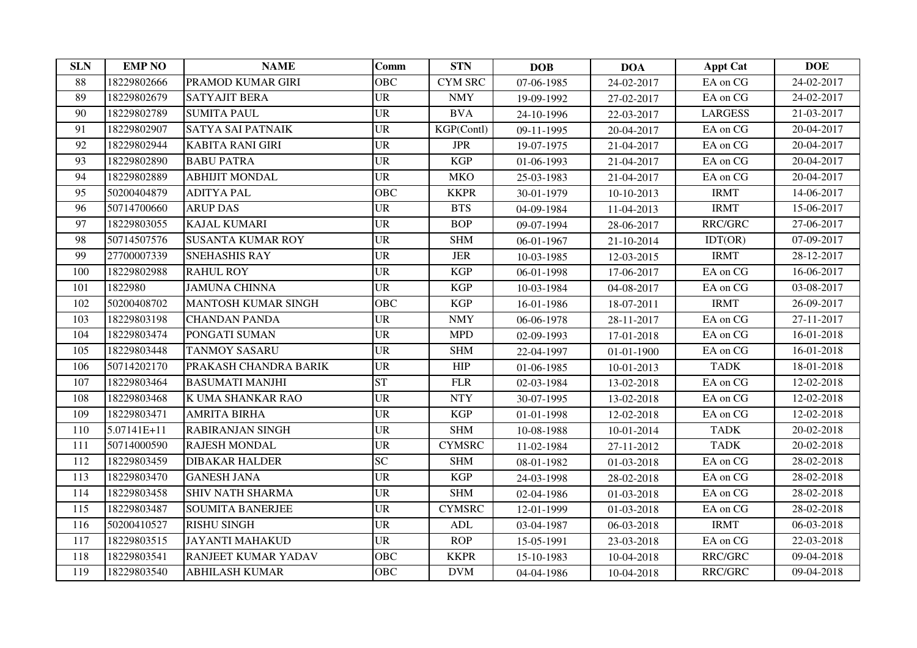| <b>SLN</b> | <b>EMP NO</b> | <b>NAME</b>                | <b>Comm</b> | <b>STN</b>     | <b>DOB</b> | <b>DOA</b> | <b>Appt Cat</b> | <b>DOE</b> |
|------------|---------------|----------------------------|-------------|----------------|------------|------------|-----------------|------------|
| 88         | 18229802666   | PRAMOD KUMAR GIRI          | <b>OBC</b>  | <b>CYM SRC</b> | 07-06-1985 | 24-02-2017 | EA on CG        | 24-02-2017 |
| 89         | 18229802679   | <b>SATYAJIT BERA</b>       | <b>UR</b>   | <b>NMY</b>     | 19-09-1992 | 27-02-2017 | EA on CG        | 24-02-2017 |
| 90         | 18229802789   | <b>SUMITA PAUL</b>         | <b>UR</b>   | <b>BVA</b>     | 24-10-1996 | 22-03-2017 | <b>LARGESS</b>  | 21-03-2017 |
| 91         | 18229802907   | SATYA SAI PATNAIK          | <b>UR</b>   | KGP(Contl)     | 09-11-1995 | 20-04-2017 | EA on CG        | 20-04-2017 |
| 92         | 18229802944   | <b>KABITA RANI GIRI</b>    | <b>UR</b>   | <b>JPR</b>     | 19-07-1975 | 21-04-2017 | EA on CG        | 20-04-2017 |
| 93         | 18229802890   | <b>BABU PATRA</b>          | <b>UR</b>   | KGP            | 01-06-1993 | 21-04-2017 | EA on CG        | 20-04-2017 |
| 94         | 18229802889   | <b>ABHIJIT MONDAL</b>      | <b>UR</b>   | <b>MKO</b>     | 25-03-1983 | 21-04-2017 | EA on CG        | 20-04-2017 |
| 95         | 50200404879   | <b>ADITYA PAL</b>          | <b>OBC</b>  | <b>KKPR</b>    | 30-01-1979 | 10-10-2013 | <b>IRMT</b>     | 14-06-2017 |
| 96         | 50714700660   | <b>ARUP DAS</b>            | <b>UR</b>   | <b>BTS</b>     | 04-09-1984 | 11-04-2013 | <b>IRMT</b>     | 15-06-2017 |
| 97         | 18229803055   | <b>KAJAL KUMARI</b>        | <b>UR</b>   | <b>BOP</b>     | 09-07-1994 | 28-06-2017 | RRC/GRC         | 27-06-2017 |
| 98         | 50714507576   | <b>SUSANTA KUMAR ROY</b>   | <b>UR</b>   | <b>SHM</b>     | 06-01-1967 | 21-10-2014 | IDT(OR)         | 07-09-2017 |
| 99         | 27700007339   | <b>SNEHASHIS RAY</b>       | <b>UR</b>   | $_{\rm JER}$   | 10-03-1985 | 12-03-2015 | <b>IRMT</b>     | 28-12-2017 |
| 100        | 18229802988   | <b>RAHUL ROY</b>           | <b>UR</b>   | <b>KGP</b>     | 06-01-1998 | 17-06-2017 | EA on CG        | 16-06-2017 |
| 101        | 1822980       | <b>JAMUNA CHINNA</b>       | <b>UR</b>   | <b>KGP</b>     | 10-03-1984 | 04-08-2017 | EA on CG        | 03-08-2017 |
| 102        | 50200408702   | <b>MANTOSH KUMAR SINGH</b> | <b>OBC</b>  | <b>KGP</b>     | 16-01-1986 | 18-07-2011 | <b>IRMT</b>     | 26-09-2017 |
| 103        | 18229803198   | <b>CHANDAN PANDA</b>       | <b>UR</b>   | <b>NMY</b>     | 06-06-1978 | 28-11-2017 | EA on CG        | 27-11-2017 |
| 104        | 18229803474   | PONGATI SUMAN              | <b>UR</b>   | <b>MPD</b>     | 02-09-1993 | 17-01-2018 | EA on CG        | 16-01-2018 |
| 105        | 18229803448   | <b>TANMOY SASARU</b>       | <b>UR</b>   | <b>SHM</b>     | 22-04-1997 | 01-01-1900 | EA on CG        | 16-01-2018 |
| 106        | 50714202170   | PRAKASH CHANDRA BARIK      | <b>UR</b>   | <b>HIP</b>     | 01-06-1985 | 10-01-2013 | <b>TADK</b>     | 18-01-2018 |
| 107        | 18229803464   | <b>BASUMATI MANJHI</b>     | <b>ST</b>   | ${\rm FLR}$    | 02-03-1984 | 13-02-2018 | EA on CG        | 12-02-2018 |
| 108        | 18229803468   | K UMA SHANKAR RAO          | <b>UR</b>   | <b>NTY</b>     | 30-07-1995 | 13-02-2018 | EA on CG        | 12-02-2018 |
| 109        | 18229803471   | <b>AMRITA BIRHA</b>        | <b>UR</b>   | <b>KGP</b>     | 01-01-1998 | 12-02-2018 | EA on CG        | 12-02-2018 |
| 110        | 5.07141E+11   | <b>RABIRANJAN SINGH</b>    | <b>UR</b>   | <b>SHM</b>     | 10-08-1988 | 10-01-2014 | <b>TADK</b>     | 20-02-2018 |
| 111        | 50714000590   | <b>RAJESH MONDAL</b>       | <b>UR</b>   | <b>CYMSRC</b>  | 11-02-1984 | 27-11-2012 | <b>TADK</b>     | 20-02-2018 |
| 112        | 18229803459   | <b>DIBAKAR HALDER</b>      | <b>SC</b>   | <b>SHM</b>     | 08-01-1982 | 01-03-2018 | EA on CG        | 28-02-2018 |
| 113        | 18229803470   | <b>GANESH JANA</b>         | <b>UR</b>   | <b>KGP</b>     | 24-03-1998 | 28-02-2018 | EA on CG        | 28-02-2018 |
| 114        | 18229803458   | <b>SHIV NATH SHARMA</b>    | <b>UR</b>   | <b>SHM</b>     | 02-04-1986 | 01-03-2018 | EA on CG        | 28-02-2018 |
| 115        | 18229803487   | <b>SOUMITA BANERJEE</b>    | <b>UR</b>   | <b>CYMSRC</b>  | 12-01-1999 | 01-03-2018 | EA on CG        | 28-02-2018 |
| 116        | 50200410527   | <b>RISHU SINGH</b>         | <b>UR</b>   | ADL            | 03-04-1987 | 06-03-2018 | <b>IRMT</b>     | 06-03-2018 |
| 117        | 18229803515   | <b>JAYANTI MAHAKUD</b>     | <b>UR</b>   | <b>ROP</b>     | 15-05-1991 | 23-03-2018 | EA on CG        | 22-03-2018 |
| 118        | 18229803541   | <b>RANJEET KUMAR YADAV</b> | <b>OBC</b>  | <b>KKPR</b>    | 15-10-1983 | 10-04-2018 | RRC/GRC         | 09-04-2018 |
| 119        | 18229803540   | <b>ABHILASH KUMAR</b>      | <b>OBC</b>  | <b>DVM</b>     | 04-04-1986 | 10-04-2018 | <b>RRC/GRC</b>  | 09-04-2018 |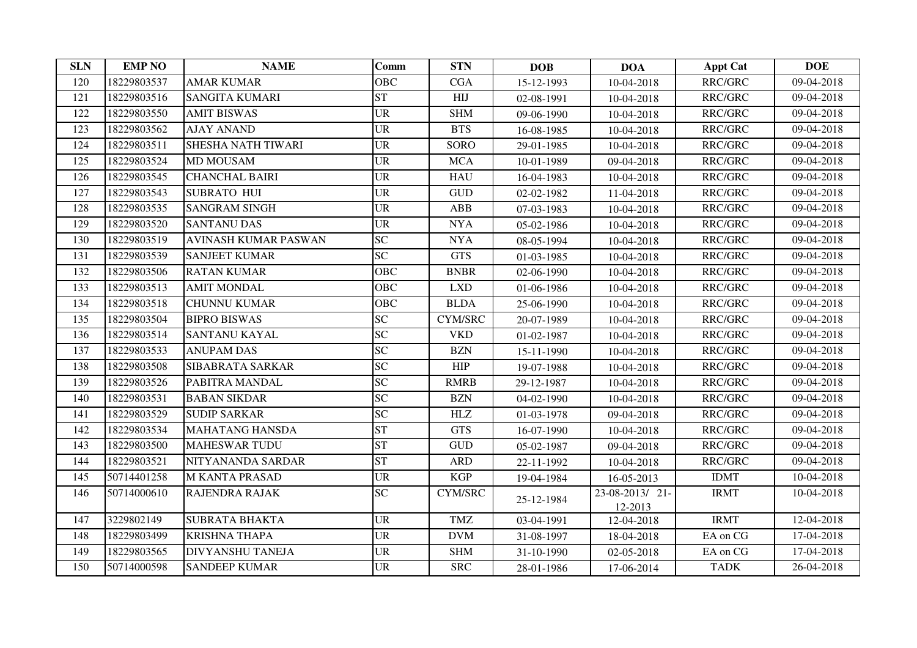| <b>SLN</b> | <b>EMP NO</b> | <b>NAME</b>             | Comm            | <b>STN</b>     | <b>DOB</b> | <b>DOA</b>                | <b>Appt Cat</b> | <b>DOE</b> |
|------------|---------------|-------------------------|-----------------|----------------|------------|---------------------------|-----------------|------------|
| 120        | 18229803537   | <b>AMAR KUMAR</b>       | <b>OBC</b>      | CGA            | 15-12-1993 | 10-04-2018                | <b>RRC/GRC</b>  | 09-04-2018 |
| 121        | 18229803516   | <b>SANGITA KUMARI</b>   | <b>ST</b>       | HIJ            | 02-08-1991 | 10-04-2018                | RRC/GRC         | 09-04-2018 |
| 122        | 18229803550   | <b>AMIT BISWAS</b>      | <b>UR</b>       | <b>SHM</b>     | 09-06-1990 | 10-04-2018                | RRC/GRC         | 09-04-2018 |
| 123        | 18229803562   | <b>AJAY ANAND</b>       | <b>UR</b>       | <b>BTS</b>     | 16-08-1985 | 10-04-2018                | RRC/GRC         | 09-04-2018 |
| 124        | 18229803511   | SHESHA NATH TIWARI      | <b>UR</b>       | <b>SORO</b>    | 29-01-1985 | 10-04-2018                | RRC/GRC         | 09-04-2018 |
| 125        | 18229803524   | <b>MD MOUSAM</b>        | <b>UR</b>       | <b>MCA</b>     | 10-01-1989 | 09-04-2018                | RRC/GRC         | 09-04-2018 |
| 126        | 18229803545   | <b>CHANCHAL BAIRI</b>   | <b>UR</b>       | <b>HAU</b>     | 16-04-1983 | 10-04-2018                | RRC/GRC         | 09-04-2018 |
| 127        | 18229803543   | <b>SUBRATO HUI</b>      | <b>UR</b>       | <b>GUD</b>     | 02-02-1982 | 11-04-2018                | RRC/GRC         | 09-04-2018 |
| 128        | 18229803535   | <b>SANGRAM SINGH</b>    | <b>UR</b>       | ABB            | 07-03-1983 | 10-04-2018                | RRC/GRC         | 09-04-2018 |
| 129        | 18229803520   | <b>SANTANU DAS</b>      | <b>UR</b>       | <b>NYA</b>     | 05-02-1986 | 10-04-2018                | RRC/GRC         | 09-04-2018 |
| 130        | 18229803519   | AVINASH KUMAR PASWAN    | <b>SC</b>       | <b>NYA</b>     | 08-05-1994 | 10-04-2018                | RRC/GRC         | 09-04-2018 |
| 131        | 18229803539   | <b>SANJEET KUMAR</b>    | <b>SC</b>       | <b>GTS</b>     | 01-03-1985 | 10-04-2018                | RRC/GRC         | 09-04-2018 |
| 132        | 18229803506   | <b>RATAN KUMAR</b>      | <b>OBC</b>      | <b>BNBR</b>    | 02-06-1990 | 10-04-2018                | <b>RRC/GRC</b>  | 09-04-2018 |
| 133        | 18229803513   | <b>AMIT MONDAL</b>      | <b>OBC</b>      | LXD            | 01-06-1986 | 10-04-2018                | RRC/GRC         | 09-04-2018 |
| 134        | 18229803518   | <b>CHUNNU KUMAR</b>     | <b>OBC</b>      | <b>BLDA</b>    | 25-06-1990 | 10-04-2018                | RRC/GRC         | 09-04-2018 |
| 135        | 18229803504   | <b>BIPRO BISWAS</b>     | <b>SC</b>       | <b>CYM/SRC</b> | 20-07-1989 | 10-04-2018                | RRC/GRC         | 09-04-2018 |
| 136        | 18229803514   | <b>SANTANU KAYAL</b>    | SC              | <b>VKD</b>     | 01-02-1987 | 10-04-2018                | RRC/GRC         | 09-04-2018 |
| 137        | 18229803533   | <b>ANUPAM DAS</b>       | <b>SC</b>       | <b>BZN</b>     | 15-11-1990 | 10-04-2018                | RRC/GRC         | 09-04-2018 |
| 138        | 18229803508   | SIBABRATA SARKAR        | <b>SC</b>       | <b>HIP</b>     | 19-07-1988 | 10-04-2018                | RRC/GRC         | 09-04-2018 |
| 139        | 18229803526   | PABITRA MANDAL          | $\overline{SC}$ | <b>RMRB</b>    | 29-12-1987 | 10-04-2018                | RRC/GRC         | 09-04-2018 |
| 140        | 18229803531   | <b>BABAN SIKDAR</b>     | $\overline{SC}$ | <b>BZN</b>     | 04-02-1990 | 10-04-2018                | RRC/GRC         | 09-04-2018 |
| 141        | 18229803529   | <b>SUDIP SARKAR</b>     | <b>SC</b>       | HLZ            | 01-03-1978 | 09-04-2018                | RRC/GRC         | 09-04-2018 |
| 142        | 18229803534   | <b>MAHATANG HANSDA</b>  | <b>ST</b>       | <b>GTS</b>     | 16-07-1990 | 10-04-2018                | RRC/GRC         | 09-04-2018 |
| 143        | 18229803500   | <b>MAHESWAR TUDU</b>    | <b>ST</b>       | <b>GUD</b>     | 05-02-1987 | 09-04-2018                | RRC/GRC         | 09-04-2018 |
| 144        | 18229803521   | NITYANANDA SARDAR       | <b>ST</b>       | <b>ARD</b>     | 22-11-1992 | 10-04-2018                | RRC/GRC         | 09-04-2018 |
| 145        | 50714401258   | <b>M KANTA PRASAD</b>   | <b>UR</b>       | <b>KGP</b>     | 19-04-1984 | 16-05-2013                | <b>IDMT</b>     | 10-04-2018 |
| 146        | 50714000610   | <b>RAJENDRA RAJAK</b>   | <b>SC</b>       | <b>CYM/SRC</b> | 25-12-1984 | 23-08-2013/21-<br>12-2013 | <b>IRMT</b>     | 10-04-2018 |
| 147        | 3229802149    | <b>SUBRATA BHAKTA</b>   | <b>UR</b>       | <b>TMZ</b>     | 03-04-1991 | 12-04-2018                | <b>IRMT</b>     | 12-04-2018 |
| 148        | 18229803499   | <b>KRISHNA THAPA</b>    | <b>UR</b>       | <b>DVM</b>     | 31-08-1997 | 18-04-2018                | EA on CG        | 17-04-2018 |
| 149        | 18229803565   | <b>DIVYANSHU TANEJA</b> | <b>UR</b>       | <b>SHM</b>     | 31-10-1990 | 02-05-2018                | EA on CG        | 17-04-2018 |
| 150        | 50714000598   | <b>SANDEEP KUMAR</b>    | <b>UR</b>       | <b>SRC</b>     | 28-01-1986 | 17-06-2014                | <b>TADK</b>     | 26-04-2018 |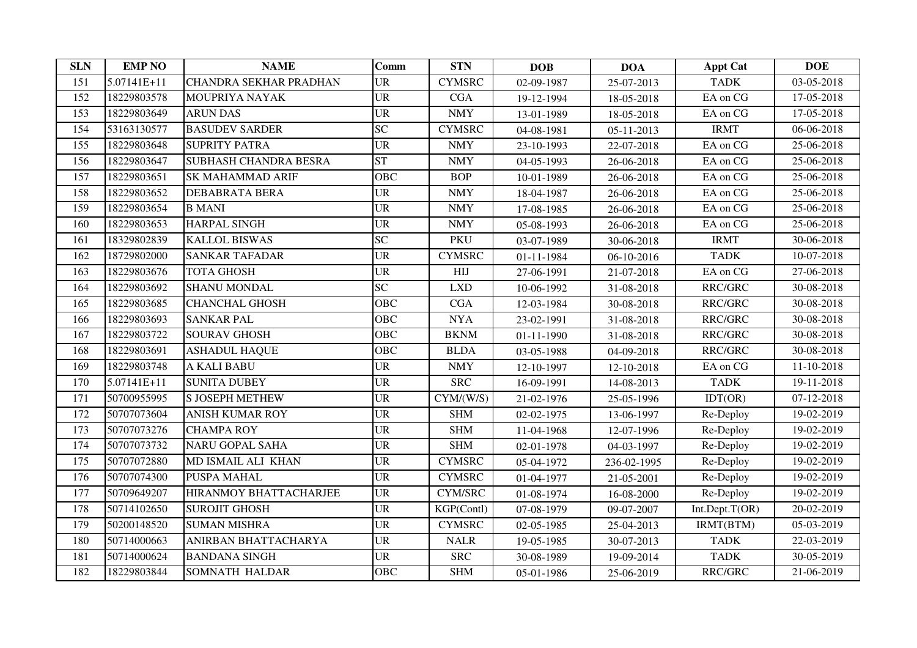| <b>SLN</b> | <b>EMP NO</b> | <b>NAME</b>             | <b>Comm</b> | <b>STN</b>    | <b>DOB</b> | <b>DOA</b>  | <b>Appt Cat</b> | <b>DOE</b> |
|------------|---------------|-------------------------|-------------|---------------|------------|-------------|-----------------|------------|
| 151        | 5.07141E+11   | CHANDRA SEKHAR PRADHAN  | <b>UR</b>   | <b>CYMSRC</b> | 02-09-1987 | 25-07-2013  | <b>TADK</b>     | 03-05-2018 |
| 152        | 18229803578   | MOUPRIYA NAYAK          | <b>UR</b>   | <b>CGA</b>    | 19-12-1994 | 18-05-2018  | EA on CG        | 17-05-2018 |
| 153        | 18229803649   | <b>ARUN DAS</b>         | <b>UR</b>   | <b>NMY</b>    | 13-01-1989 | 18-05-2018  | EA on CG        | 17-05-2018 |
| 154        | 53163130577   | <b>BASUDEV SARDER</b>   | <b>SC</b>   | <b>CYMSRC</b> | 04-08-1981 | 05-11-2013  | <b>IRMT</b>     | 06-06-2018 |
| 155        | 18229803648   | <b>SUPRITY PATRA</b>    | <b>UR</b>   | <b>NMY</b>    | 23-10-1993 | 22-07-2018  | EA on CG        | 25-06-2018 |
| 156        | 18229803647   | SUBHASH CHANDRA BESRA   | <b>ST</b>   | <b>NMY</b>    | 04-05-1993 | 26-06-2018  | EA on CG        | 25-06-2018 |
| 157        | 18229803651   | <b>SK MAHAMMAD ARIF</b> | <b>OBC</b>  | <b>BOP</b>    | 10-01-1989 | 26-06-2018  | EA on CG        | 25-06-2018 |
| 158        | 18229803652   | <b>DEBABRATA BERA</b>   | <b>UR</b>   | <b>NMY</b>    | 18-04-1987 | 26-06-2018  | EA on CG        | 25-06-2018 |
| 159        | 18229803654   | <b>B MANI</b>           | <b>UR</b>   | <b>NMY</b>    | 17-08-1985 | 26-06-2018  | EA on CG        | 25-06-2018 |
| 160        | 18229803653   | <b>HARPAL SINGH</b>     | <b>UR</b>   | <b>NMY</b>    | 05-08-1993 | 26-06-2018  | EA on CG        | 25-06-2018 |
| 161        | 18329802839   | <b>KALLOL BISWAS</b>    | SC          | <b>PKU</b>    | 03-07-1989 | 30-06-2018  | <b>IRMT</b>     | 30-06-2018 |
| 162        | 18729802000   | <b>SANKAR TAFADAR</b>   | <b>UR</b>   | <b>CYMSRC</b> | 01-11-1984 | 06-10-2016  | <b>TADK</b>     | 10-07-2018 |
| 163        | 18229803676   | <b>TOTA GHOSH</b>       | <b>UR</b>   | HIJ           | 27-06-1991 | 21-07-2018  | EA on CG        | 27-06-2018 |
| 164        | 18229803692   | <b>SHANU MONDAL</b>     | SC          | <b>LXD</b>    | 10-06-1992 | 31-08-2018  | RRC/GRC         | 30-08-2018 |
| 165        | 18229803685   | <b>CHANCHAL GHOSH</b>   | <b>OBC</b>  | CGA           | 12-03-1984 | 30-08-2018  | RRC/GRC         | 30-08-2018 |
| 166        | 18229803693   | <b>SANKAR PAL</b>       | <b>OBC</b>  | <b>NYA</b>    | 23-02-1991 | 31-08-2018  | RRC/GRC         | 30-08-2018 |
| 167        | 18229803722   | <b>SOURAV GHOSH</b>     | <b>OBC</b>  | <b>BKNM</b>   | 01-11-1990 | 31-08-2018  | RRC/GRC         | 30-08-2018 |
| 168        | 18229803691   | <b>ASHADUL HAQUE</b>    | OBC         | <b>BLDA</b>   | 03-05-1988 | 04-09-2018  | RRC/GRC         | 30-08-2018 |
| 169        | 18229803748   | A KALI BABU             | <b>UR</b>   | <b>NMY</b>    | 12-10-1997 | 12-10-2018  | EA on CG        | 11-10-2018 |
| 170        | 5.07141E+11   | <b>SUNITA DUBEY</b>     | <b>UR</b>   | <b>SRC</b>    | 16-09-1991 | 14-08-2013  | <b>TADK</b>     | 19-11-2018 |
| 171        | 50700955995   | <b>S JOSEPH METHEW</b>  | <b>UR</b>   | CYM/(W/S)     | 21-02-1976 | 25-05-1996  | IDT(OR)         | 07-12-2018 |
| 172        | 50707073604   | <b>ANISH KUMAR ROY</b>  | <b>UR</b>   | <b>SHM</b>    | 02-02-1975 | 13-06-1997  | Re-Deploy       | 19-02-2019 |
| 173        | 50707073276   | <b>CHAMPA ROY</b>       | <b>UR</b>   | <b>SHM</b>    | 11-04-1968 | 12-07-1996  | Re-Deploy       | 19-02-2019 |
| 174        | 50707073732   | <b>NARU GOPAL SAHA</b>  | <b>UR</b>   | <b>SHM</b>    | 02-01-1978 | 04-03-1997  | Re-Deploy       | 19-02-2019 |
| 175        | 50707072880   | MD ISMAIL ALI KHAN      | <b>UR</b>   | <b>CYMSRC</b> | 05-04-1972 | 236-02-1995 | Re-Deploy       | 19-02-2019 |
| 176        | 50707074300   | <b>PUSPA MAHAL</b>      | <b>UR</b>   | <b>CYMSRC</b> | 01-04-1977 | 21-05-2001  | Re-Deploy       | 19-02-2019 |
| 177        | 50709649207   | HIRANMOY BHATTACHARJEE  | <b>UR</b>   | CYM/SRC       | 01-08-1974 | 16-08-2000  | Re-Deploy       | 19-02-2019 |
| 178        | 50714102650   | <b>SUROJIT GHOSH</b>    | <b>UR</b>   | KGP(Contl)    | 07-08-1979 | 09-07-2007  | Int.Dept.T(OR)  | 20-02-2019 |
| 179        | 50200148520   | <b>SUMAN MISHRA</b>     | <b>UR</b>   | <b>CYMSRC</b> | 02-05-1985 | 25-04-2013  | IRMT(BTM)       | 05-03-2019 |
| 180        | 50714000663   | ANIRBAN BHATTACHARYA    | <b>UR</b>   | <b>NALR</b>   | 19-05-1985 | 30-07-2013  | <b>TADK</b>     | 22-03-2019 |
| 181        | 50714000624   | <b>BANDANA SINGH</b>    | <b>UR</b>   | <b>SRC</b>    | 30-08-1989 | 19-09-2014  | <b>TADK</b>     | 30-05-2019 |
| 182        | 18229803844   | SOMNATH HALDAR          | <b>OBC</b>  | <b>SHM</b>    | 05-01-1986 | 25-06-2019  | RRC/GRC         | 21-06-2019 |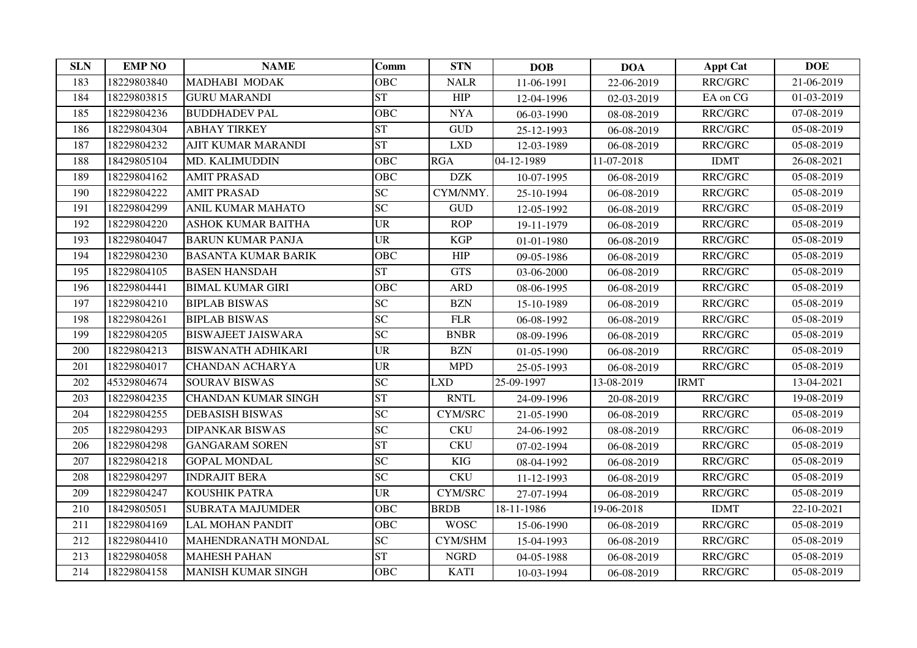| <b>SLN</b> | <b>EMP NO</b> | <b>NAME</b>                | Comm       | <b>STN</b>                  | <b>DOB</b> | <b>DOA</b> | <b>Appt Cat</b> | <b>DOE</b> |
|------------|---------------|----------------------------|------------|-----------------------------|------------|------------|-----------------|------------|
| 183        | 18229803840   | MADHABI MODAK              | <b>OBC</b> | <b>NALR</b>                 | 11-06-1991 | 22-06-2019 | RRC/GRC         | 21-06-2019 |
| 184        | 18229803815   | <b>GURU MARANDI</b>        | <b>ST</b>  | <b>HIP</b>                  | 12-04-1996 | 02-03-2019 | EA on CG        | 01-03-2019 |
| 185        | 18229804236   | <b>BUDDHADEV PAL</b>       | <b>OBC</b> | <b>NYA</b>                  | 06-03-1990 | 08-08-2019 | RRC/GRC         | 07-08-2019 |
| 186        | 18229804304   | <b>ABHAY TIRKEY</b>        | <b>ST</b>  | $\ensuremath{\mathsf{GUD}}$ | 25-12-1993 | 06-08-2019 | RRC/GRC         | 05-08-2019 |
| 187        | 18229804232   | <b>AJIT KUMAR MARANDI</b>  | <b>ST</b>  | <b>LXD</b>                  | 12-03-1989 | 06-08-2019 | RRC/GRC         | 05-08-2019 |
| 188        | 18429805104   | MD. KALIMUDDIN             | <b>OBC</b> | <b>RGA</b>                  | 04-12-1989 | 11-07-2018 | <b>IDMT</b>     | 26-08-2021 |
| 189        | 18229804162   | <b>AMIT PRASAD</b>         | <b>OBC</b> | <b>DZK</b>                  | 10-07-1995 | 06-08-2019 | RRC/GRC         | 05-08-2019 |
| 190        | 18229804222   | <b>AMIT PRASAD</b>         | <b>SC</b>  | CYM/NMY.                    | 25-10-1994 | 06-08-2019 | RRC/GRC         | 05-08-2019 |
| 191        | 18229804299   | <b>ANIL KUMAR MAHATO</b>   | <b>SC</b>  | $\operatorname{GUD}$        | 12-05-1992 | 06-08-2019 | RRC/GRC         | 05-08-2019 |
| 192        | 18229804220   | <b>ASHOK KUMAR BAITHA</b>  | <b>UR</b>  | <b>ROP</b>                  | 19-11-1979 | 06-08-2019 | RRC/GRC         | 05-08-2019 |
| 193        | 18229804047   | <b>BARUN KUMAR PANJA</b>   | <b>UR</b>  | <b>KGP</b>                  | 01-01-1980 | 06-08-2019 | RRC/GRC         | 05-08-2019 |
| 194        | 18229804230   | <b>BASANTA KUMAR BARIK</b> | <b>OBC</b> | HIP                         | 09-05-1986 | 06-08-2019 | RRC/GRC         | 05-08-2019 |
| 195        | 18229804105   | <b>BASEN HANSDAH</b>       | <b>ST</b>  | <b>GTS</b>                  | 03-06-2000 | 06-08-2019 | RRC/GRC         | 05-08-2019 |
| 196        | 18229804441   | <b>BIMAL KUMAR GIRI</b>    | <b>OBC</b> | <b>ARD</b>                  | 08-06-1995 | 06-08-2019 | RRC/GRC         | 05-08-2019 |
| 197        | 18229804210   | <b>BIPLAB BISWAS</b>       | <b>SC</b>  | <b>BZN</b>                  | 15-10-1989 | 06-08-2019 | RRC/GRC         | 05-08-2019 |
| 198        | 18229804261   | <b>BIPLAB BISWAS</b>       | <b>SC</b>  | ${\rm FLR}$                 | 06-08-1992 | 06-08-2019 | RRC/GRC         | 05-08-2019 |
| 199        | 18229804205   | <b>BISWAJEET JAISWARA</b>  | <b>SC</b>  | <b>BNBR</b>                 | 08-09-1996 | 06-08-2019 | RRC/GRC         | 05-08-2019 |
| 200        | 18229804213   | <b>BISWANATH ADHIKARI</b>  | <b>UR</b>  | <b>BZN</b>                  | 01-05-1990 | 06-08-2019 | RRC/GRC         | 05-08-2019 |
| 201        | 18229804017   | <b>CHANDAN ACHARYA</b>     | <b>UR</b>  | <b>MPD</b>                  | 25-05-1993 | 06-08-2019 | RRC/GRC         | 05-08-2019 |
| 202        | 45329804674   | <b>SOURAV BISWAS</b>       | <b>SC</b>  | <b>LXD</b>                  | 25-09-1997 | 13-08-2019 | <b>IRMT</b>     | 13-04-2021 |
| 203        | 18229804235   | <b>CHANDAN KUMAR SINGH</b> | <b>ST</b>  | <b>RNTL</b>                 | 24-09-1996 | 20-08-2019 | RRC/GRC         | 19-08-2019 |
| 204        | 18229804255   | <b>DEBASISH BISWAS</b>     | SC         | <b>CYM/SRC</b>              | 21-05-1990 | 06-08-2019 | RRC/GRC         | 05-08-2019 |
| 205        | 18229804293   | <b>DIPANKAR BISWAS</b>     | <b>SC</b>  | <b>CKU</b>                  | 24-06-1992 | 08-08-2019 | RRC/GRC         | 06-08-2019 |
| 206        | 18229804298   | <b>GANGARAM SOREN</b>      | <b>ST</b>  | <b>CKU</b>                  | 07-02-1994 | 06-08-2019 | RRC/GRC         | 05-08-2019 |
| 207        | 18229804218   | <b>GOPAL MONDAL</b>        | <b>SC</b>  | <b>KIG</b>                  | 08-04-1992 | 06-08-2019 | RRC/GRC         | 05-08-2019 |
| 208        | 18229804297   | <b>INDRAJIT BERA</b>       | <b>SC</b>  | <b>CKU</b>                  | 11-12-1993 | 06-08-2019 | RRC/GRC         | 05-08-2019 |
| 209        | 18229804247   | <b>KOUSHIK PATRA</b>       | <b>UR</b>  | <b>CYM/SRC</b>              | 27-07-1994 | 06-08-2019 | RRC/GRC         | 05-08-2019 |
| 210        | 18429805051   | <b>SUBRATA MAJUMDER</b>    | <b>OBC</b> | <b>BRDB</b>                 | 18-11-1986 | 19-06-2018 | <b>IDMT</b>     | 22-10-2021 |
| 211        | 18229804169   | <b>LAL MOHAN PANDIT</b>    | <b>OBC</b> | <b>WOSC</b>                 | 15-06-1990 | 06-08-2019 | RRC/GRC         | 05-08-2019 |
| 212        | 18229804410   | MAHENDRANATH MONDAL        | <b>SC</b>  | CYM/SHM                     | 15-04-1993 | 06-08-2019 | RRC/GRC         | 05-08-2019 |
| 213        | 18229804058   | <b>MAHESH PAHAN</b>        | <b>ST</b>  | <b>NGRD</b>                 | 04-05-1988 | 06-08-2019 | RRC/GRC         | 05-08-2019 |
| 214        | 18229804158   | <b>MANISH KUMAR SINGH</b>  | <b>OBC</b> | <b>KATI</b>                 | 10-03-1994 | 06-08-2019 | RRC/GRC         | 05-08-2019 |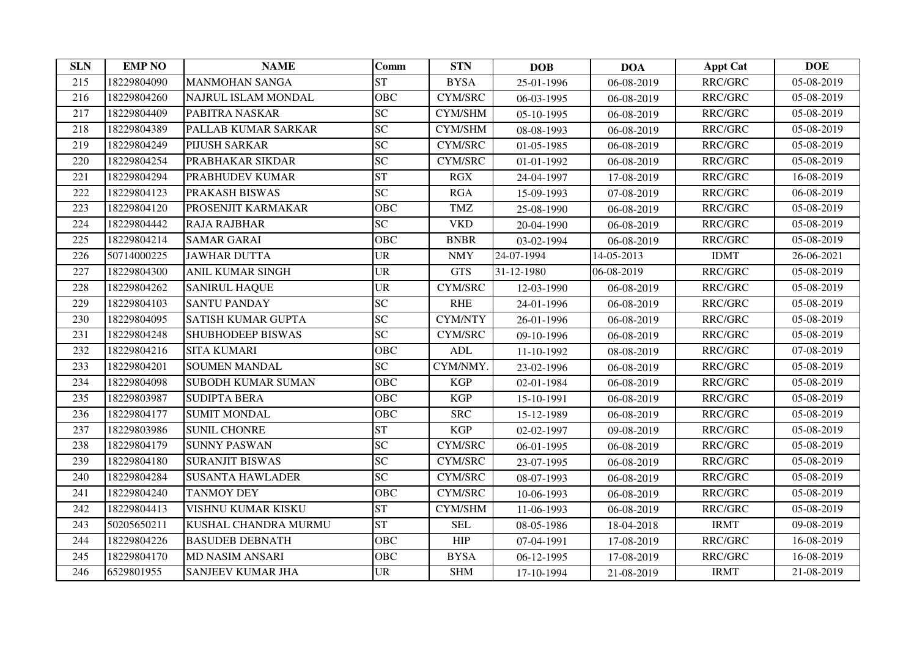| <b>SLN</b> | <b>EMP NO</b> | <b>NAME</b>               | <b>Comm</b>     | <b>STN</b>       | <b>DOB</b> | <b>DOA</b> | <b>Appt Cat</b> | <b>DOE</b> |
|------------|---------------|---------------------------|-----------------|------------------|------------|------------|-----------------|------------|
| 215        | 18229804090   | <b>MANMOHAN SANGA</b>     | <b>ST</b>       | <b>BYSA</b>      | 25-01-1996 | 06-08-2019 | RRC/GRC         | 05-08-2019 |
| 216        | 18229804260   | NAJRUL ISLAM MONDAL       | <b>OBC</b>      | <b>CYM/SRC</b>   | 06-03-1995 | 06-08-2019 | RRC/GRC         | 05-08-2019 |
| 217        | 18229804409   | PABITRA NASKAR            | <b>SC</b>       | CYM/SHM          | 05-10-1995 | 06-08-2019 | RRC/GRC         | 05-08-2019 |
| 218        | 18229804389   | PALLAB KUMAR SARKAR       | <b>SC</b>       | CYM/SHM          | 08-08-1993 | 06-08-2019 | RRC/GRC         | 05-08-2019 |
| 219        | 18229804249   | PIJUSH SARKAR             | <b>SC</b>       | CYM/SRC          | 01-05-1985 | 06-08-2019 | RRC/GRC         | 05-08-2019 |
| 220        | 18229804254   | PRABHAKAR SIKDAR          | $\overline{SC}$ | <b>CYM/SRC</b>   | 01-01-1992 | 06-08-2019 | RRC/GRC         | 05-08-2019 |
| 221        | 18229804294   | PRABHUDEV KUMAR           | <b>ST</b>       | RGX              | 24-04-1997 | 17-08-2019 | RRC/GRC         | 16-08-2019 |
| 222        | 18229804123   | PRAKASH BISWAS            | <b>SC</b>       | RGA              | 15-09-1993 | 07-08-2019 | RRC/GRC         | 06-08-2019 |
| 223        | 18229804120   | PROSENJIT KARMAKAR        | <b>OBC</b>      | <b>TMZ</b>       | 25-08-1990 | 06-08-2019 | RRC/GRC         | 05-08-2019 |
| 224        | 18229804442   | <b>RAJA RAJBHAR</b>       | <b>SC</b>       | <b>VKD</b>       | 20-04-1990 | 06-08-2019 | RRC/GRC         | 05-08-2019 |
| 225        | 18229804214   | <b>SAMAR GARAI</b>        | <b>OBC</b>      | <b>BNBR</b>      | 03-02-1994 | 06-08-2019 | RRC/GRC         | 05-08-2019 |
| 226        | 50714000225   | <b>JAWHAR DUTTA</b>       | <b>UR</b>       | <b>NMY</b>       | 24-07-1994 | 14-05-2013 | <b>IDMT</b>     | 26-06-2021 |
| 227        | 18229804300   | ANIL KUMAR SINGH          | <b>UR</b>       | <b>GTS</b>       | 31-12-1980 | 06-08-2019 | RRC/GRC         | 05-08-2019 |
| 228        | 18229804262   | <b>SANIRUL HAQUE</b>      | <b>UR</b>       | <b>CYM/SRC</b>   | 12-03-1990 | 06-08-2019 | RRC/GRC         | 05-08-2019 |
| 229        | 18229804103   | <b>SANTU PANDAY</b>       | $\overline{SC}$ | <b>RHE</b>       | 24-01-1996 | 06-08-2019 | RRC/GRC         | 05-08-2019 |
| 230        | 18229804095   | SATISH KUMAR GUPTA        | <b>SC</b>       | <b>CYM/NTY</b>   | 26-01-1996 | 06-08-2019 | RRC/GRC         | 05-08-2019 |
| 231        | 18229804248   | SHUBHODEEP BISWAS         | SC              | <b>CYM/SRC</b>   | 09-10-1996 | 06-08-2019 | RRC/GRC         | 05-08-2019 |
| 232        | 18229804216   | <b>SITA KUMARI</b>        | <b>OBC</b>      | $\mbox{\bf ADL}$ | 11-10-1992 | 08-08-2019 | RRC/GRC         | 07-08-2019 |
| 233        | 18229804201   | <b>SOUMEN MANDAL</b>      | <b>SC</b>       | CYM/NMY.         | 23-02-1996 | 06-08-2019 | RRC/GRC         | 05-08-2019 |
| 234        | 18229804098   | <b>SUBODH KUMAR SUMAN</b> | <b>OBC</b>      | <b>KGP</b>       | 02-01-1984 | 06-08-2019 | RRC/GRC         | 05-08-2019 |
| 235        | 18229803987   | <b>SUDIPTA BERA</b>       | <b>OBC</b>      | <b>KGP</b>       | 15-10-1991 | 06-08-2019 | RRC/GRC         | 05-08-2019 |
| 236        | 18229804177   | <b>SUMIT MONDAL</b>       | <b>OBC</b>      | <b>SRC</b>       | 15-12-1989 | 06-08-2019 | RRC/GRC         | 05-08-2019 |
| 237        | 18229803986   | <b>SUNIL CHONRE</b>       | <b>ST</b>       | <b>KGP</b>       | 02-02-1997 | 09-08-2019 | RRC/GRC         | 05-08-2019 |
| 238        | 18229804179   | <b>SUNNY PASWAN</b>       | <b>SC</b>       | <b>CYM/SRC</b>   | 06-01-1995 | 06-08-2019 | RRC/GRC         | 05-08-2019 |
| 239        | 18229804180   | <b>SURANJIT BISWAS</b>    | $\overline{SC}$ | <b>CYM/SRC</b>   | 23-07-1995 | 06-08-2019 | RRC/GRC         | 05-08-2019 |
| 240        | 18229804284   | <b>SUSANTA HAWLADER</b>   | <b>SC</b>       | CYM/SRC          | 08-07-1993 | 06-08-2019 | RRC/GRC         | 05-08-2019 |
| 241        | 18229804240   | <b>TANMOY DEY</b>         | <b>OBC</b>      | <b>CYM/SRC</b>   | 10-06-1993 | 06-08-2019 | RRC/GRC         | 05-08-2019 |
| 242        | 18229804413   | VISHNU KUMAR KISKU        | <b>ST</b>       | CYM/SHM          | 11-06-1993 | 06-08-2019 | RRC/GRC         | 05-08-2019 |
| 243        | 50205650211   | KUSHAL CHANDRA MURMU      | <b>ST</b>       | <b>SEL</b>       | 08-05-1986 | 18-04-2018 | <b>IRMT</b>     | 09-08-2019 |
| 244        | 18229804226   | <b>BASUDEB DEBNATH</b>    | <b>OBC</b>      | HIP              | 07-04-1991 | 17-08-2019 | RRC/GRC         | 16-08-2019 |
| 245        | 18229804170   | <b>MD NASIM ANSARI</b>    | <b>OBC</b>      | <b>BYSA</b>      | 06-12-1995 | 17-08-2019 | RRC/GRC         | 16-08-2019 |
| 246        | 6529801955    | SANJEEV KUMAR JHA         | <b>UR</b>       | <b>SHM</b>       | 17-10-1994 | 21-08-2019 | <b>IRMT</b>     | 21-08-2019 |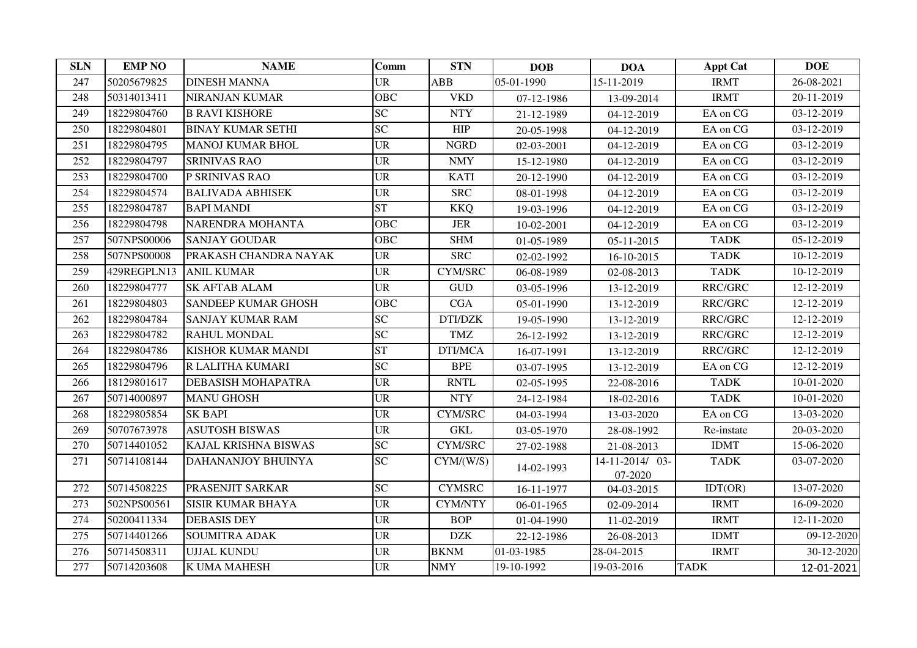| <b>SLN</b> | <b>EMP NO</b> | <b>NAME</b>                | Comm       | <b>STN</b>           | <b>DOB</b> | <b>DOA</b>                 | <b>Appt Cat</b> | <b>DOE</b>                  |
|------------|---------------|----------------------------|------------|----------------------|------------|----------------------------|-----------------|-----------------------------|
| 247        | 50205679825   | <b>DINESH MANNA</b>        | <b>UR</b>  | ABB                  | 05-01-1990 | 15-11-2019                 | <b>IRMT</b>     | 26-08-2021                  |
| 248        | 50314013411   | <b>NIRANJAN KUMAR</b>      | <b>OBC</b> | <b>VKD</b>           | 07-12-1986 | 13-09-2014                 | <b>IRMT</b>     | $\overline{20} - 11 - 2019$ |
| 249        | 18229804760   | <b>B RAVI KISHORE</b>      | <b>SC</b>  | <b>NTY</b>           | 21-12-1989 | 04-12-2019                 | EA on CG        | 03-12-2019                  |
| 250        | 18229804801   | <b>BINAY KUMAR SETHI</b>   | <b>SC</b>  | HIP                  | 20-05-1998 | 04-12-2019                 | EA on CG        | 03-12-2019                  |
| 251        | 18229804795   | <b>MANOJ KUMAR BHOL</b>    | <b>UR</b>  | <b>NGRD</b>          | 02-03-2001 | 04-12-2019                 | EA on CG        | 03-12-2019                  |
| 252        | 18229804797   | <b>SRINIVAS RAO</b>        | <b>UR</b>  | <b>NMY</b>           | 15-12-1980 | 04-12-2019                 | EA on CG        | 03-12-2019                  |
| 253        | 18229804700   | P SRINIVAS RAO             | <b>UR</b>  | <b>KATI</b>          | 20-12-1990 | 04-12-2019                 | EA on CG        | 03-12-2019                  |
| 254        | 18229804574   | <b>BALIVADA ABHISEK</b>    | <b>UR</b>  | <b>SRC</b>           | 08-01-1998 | 04-12-2019                 | EA on CG        | 03-12-2019                  |
| 255        | 18229804787   | <b>BAPI MANDI</b>          | <b>ST</b>  | <b>KKQ</b>           | 19-03-1996 | 04-12-2019                 | EA on CG        | 03-12-2019                  |
| 256        | 18229804798   | NARENDRA MOHANTA           | <b>OBC</b> | $_{\rm JER}$         | 10-02-2001 | 04-12-2019                 | EA on CG        | 03-12-2019                  |
| 257        | 507NPS00006   | <b>SANJAY GOUDAR</b>       | OBC        | <b>SHM</b>           | 01-05-1989 | 05-11-2015                 | <b>TADK</b>     | 05-12-2019                  |
| 258        | 507NPS00008   | PRAKASH CHANDRA NAYAK      | <b>UR</b>  | <b>SRC</b>           | 02-02-1992 | 16-10-2015                 | <b>TADK</b>     | 10-12-2019                  |
| 259        | 429REGPLN13   | <b>ANIL KUMAR</b>          | <b>UR</b>  | CYM/SRC              | 06-08-1989 | 02-08-2013                 | <b>TADK</b>     | 10-12-2019                  |
| 260        | 18229804777   | <b>SK AFTAB ALAM</b>       | <b>UR</b>  | <b>GUD</b>           | 03-05-1996 | 13-12-2019                 | RRC/GRC         | 12-12-2019                  |
| 261        | 18229804803   | <b>SANDEEP KUMAR GHOSH</b> | <b>OBC</b> | CGA                  | 05-01-1990 | 13-12-2019                 | RRC/GRC         | 12-12-2019                  |
| 262        | 18229804784   | <b>SANJAY KUMAR RAM</b>    | <b>SC</b>  | DTI/DZK              | 19-05-1990 | 13-12-2019                 | RRC/GRC         | 12-12-2019                  |
| 263        | 18229804782   | RAHUL MONDAL               | SC         | <b>TMZ</b>           | 26-12-1992 | 13-12-2019                 | RRC/GRC         | 12-12-2019                  |
| 264        | 18229804786   | KISHOR KUMAR MANDI         | <b>ST</b>  | DTI/MCA              | 16-07-1991 | 13-12-2019                 | RRC/GRC         | 12-12-2019                  |
| 265        | 18229804796   | R LALITHA KUMARI           | <b>SC</b>  | <b>BPE</b>           | 03-07-1995 | 13-12-2019                 | EA on CG        | 12-12-2019                  |
| 266        | 18129801617   | DEBASISH MOHAPATRA         | <b>UR</b>  | <b>RNTL</b>          | 02-05-1995 | 22-08-2016                 | <b>TADK</b>     | 10-01-2020                  |
| 267        | 50714000897   | <b>MANU GHOSH</b>          | <b>UR</b>  | <b>NTY</b>           | 24-12-1984 | 18-02-2016                 | <b>TADK</b>     | 10-01-2020                  |
| 268        | 18229805854   | <b>SK BAPI</b>             | <b>UR</b>  | <b>CYM/SRC</b>       | 04-03-1994 | 13-03-2020                 | EA on CG        | 13-03-2020                  |
| 269        | 50707673978   | <b>ASUTOSH BISWAS</b>      | <b>UR</b>  | $\operatorname{GKL}$ | 03-05-1970 | 28-08-1992                 | Re-instate      | 20-03-2020                  |
| 270        | 50714401052   | KAJAL KRISHNA BISWAS       | SC         | <b>CYM/SRC</b>       | 27-02-1988 | 21-08-2013                 | <b>IDMT</b>     | 15-06-2020                  |
| 271        | 50714108144   | DAHANANJOY BHUINYA         | <b>SC</b>  | CYM/(W/S)            | 14-02-1993 | 14-11-2014/ 03-<br>07-2020 | <b>TADK</b>     | 03-07-2020                  |
| 272        | 50714508225   | PRASENJIT SARKAR           | SC         | <b>CYMSRC</b>        | 16-11-1977 | 04-03-2015                 | IDT(OR)         | 13-07-2020                  |
| 273        | 502NPS00561   | <b>SISIR KUMAR BHAYA</b>   | <b>UR</b>  | <b>CYM/NTY</b>       | 06-01-1965 | 02-09-2014                 | <b>IRMT</b>     | 16-09-2020                  |
| 274        | 50200411334   | <b>DEBASIS DEY</b>         | <b>UR</b>  | <b>BOP</b>           | 01-04-1990 | 11-02-2019                 | <b>IRMT</b>     | 12-11-2020                  |
| 275        | 50714401266   | <b>SOUMITRA ADAK</b>       | <b>UR</b>  | <b>DZK</b>           | 22-12-1986 | 26-08-2013                 | <b>IDMT</b>     | 09-12-2020                  |
| 276        | 50714508311   | <b>UJJAL KUNDU</b>         | <b>UR</b>  | <b>BKNM</b>          | 01-03-1985 | 28-04-2015                 | <b>IRMT</b>     | 30-12-2020                  |
| 277        | 50714203608   | K UMA MAHESH               | <b>UR</b>  | <b>NMY</b>           | 19-10-1992 | 19-03-2016                 | <b>TADK</b>     | 12-01-2021                  |